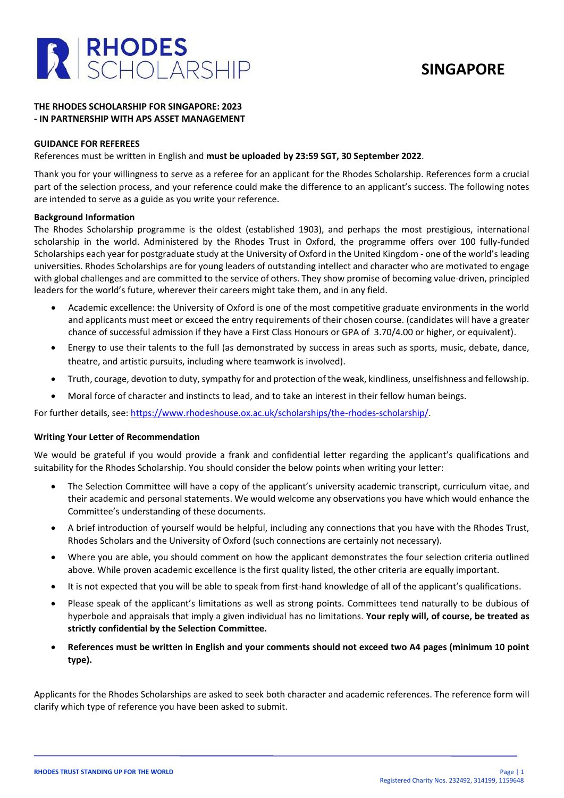

## **SINGAPORE**

### **THE RHODES SCHOLARSHIP FOR SINGAPORE: 2023 - IN PARTNERSHIP WITH APS ASSET MANAGEMENT**

### **GUIDANCE FOR REFEREES**

References must be written in English and **must be uploaded by 23:59 SGT, 30 September 2022**.

Thank you for your willingness to serve as a referee for an applicant for the Rhodes Scholarship. References form a crucial part of the selection process, and your reference could make the difference to an applicant's success. The following notes are intended to serve as a guide as you write your reference.

### **Background Information**

The Rhodes Scholarship programme is the oldest (established 1903), and perhaps the most prestigious, international scholarship in the world. Administered by the Rhodes Trust in Oxford, the programme offers over 100 fully-funded Scholarships each year for postgraduate study at the University of Oxford in the United Kingdom - one of the world's leading universities. Rhodes Scholarships are for young leaders of outstanding intellect and character who are motivated to engage with global challenges and are committed to the service of others. They show promise of becoming value-driven, principled leaders for the world's future, wherever their careers might take them, and in any field.

- Academic excellence: the University of Oxford is one of the most competitive graduate environments in the world and applicants must meet or exceed the entry requirements of their chosen course. (candidates will have a greater chance of successful admission if they have a First Class Honours or GPA of 3.70/4.00 or higher, or equivalent).
- Energy to use their talents to the full (as demonstrated by success in areas such as sports, music, debate, dance, theatre, and artistic pursuits, including where teamwork is involved).
- Truth, courage, devotion to duty, sympathy for and protection of the weak, kindliness, unselfishness and fellowship.
- Moral force of character and instincts to lead, and to take an interest in their fellow human beings.

For further details, see: [https://www.rhodeshouse.ox.ac.uk/scholarships/the-rhodes-scholarship/.](https://www.rhodeshouse.ox.ac.uk/scholarships/the-rhodes-scholarship/)

#### **Writing Your Letter of Recommendation**

We would be grateful if you would provide a frank and confidential letter regarding the applicant's qualifications and suitability for the Rhodes Scholarship. You should consider the below points when writing your letter:

- The Selection Committee will have a copy of the applicant's university academic transcript, curriculum vitae, and their academic and personal statements. We would welcome any observations you have which would enhance the Committee's understanding of these documents.
- A brief introduction of yourself would be helpful, including any connections that you have with the Rhodes Trust, Rhodes Scholars and the University of Oxford (such connections are certainly not necessary).
- Where you are able, you should comment on how the applicant demonstrates the four selection criteria outlined above. While proven academic excellence is the first quality listed, the other criteria are equally important.
- It is not expected that you will be able to speak from first-hand knowledge of all of the applicant's qualifications.
- Please speak of the applicant's limitations as well as strong points. Committees tend naturally to be dubious of hyperbole and appraisals that imply a given individual has no limitations. **Your reply will, of course, be treated as strictly confidential by the Selection Committee.**
- **References must be written in English and your comments should not exceed two A4 pages (minimum 10 point type).**

Applicants for the Rhodes Scholarships are asked to seek both character and academic references. The reference form will clarify which type of reference you have been asked to submit.